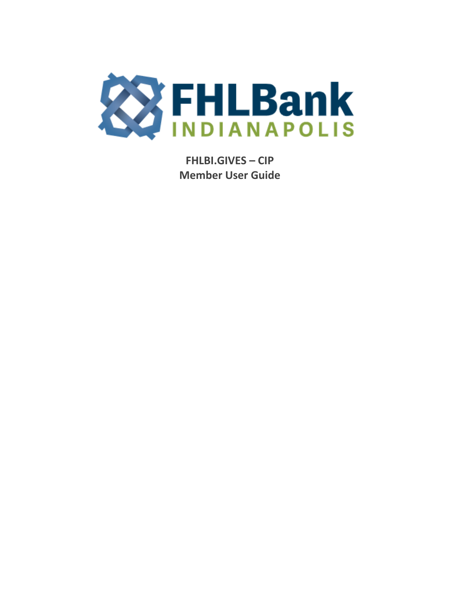

**FHLBI.GIVES - CIP Member User Guide**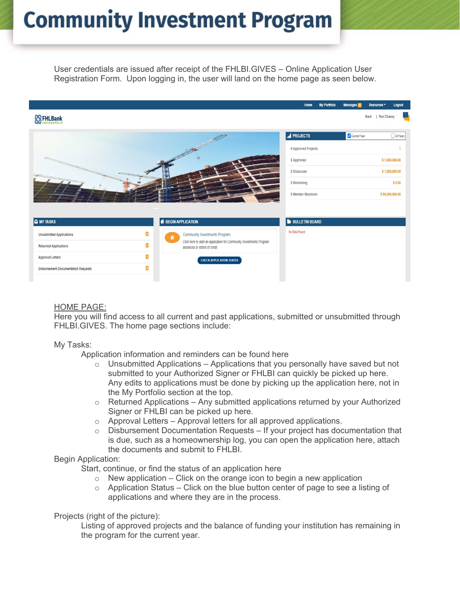# **Community Investment Program**

User credentials are issued after receipt of the FHLBI.GIVES – Online Application User Registration Form. Upon logging in, the user will land on the home page as seen below.



### HOME PAGE:

Here you will find access to all current and past applications, submitted or unsubmitted through FHLBI.GIVES. The home page sections include:

#### My Tasks:

Application information and reminders can be found here

- $\circ$  Unsubmitted Applications Applications that you personally have saved but not submitted to your Authorized Signer or FHLBI can quickly be picked up here. Any edits to applications must be done by picking up the application here, not in the My Portfolio section at the top.
- $\circ$  Returned Applications Any submitted applications returned by your Authorized Signer or FHLBI can be picked up here.
- ⊙ Approval Letters Approval letters for all approved applications.<br>○ Disbursement Documentation Requests If vour project has doc
- Disbursement Documentation Requests If your project has documentation that is due, such as a homeownership log, you can open the application here, attach the documents and submit to FHLBI.

#### Begin Application:

Start, continue, or find the status of an application here

- o New application Click on the orange icon to begin a new application  $\circ$  Application Status Click on the blue button center of page to see a list
- Application Status Click on the blue button center of page to see a listing of applications and where they are in the process.

#### Projects (right of the picture):

Listing of approved projects and the balance of funding your institution has remaining in the program for the current year.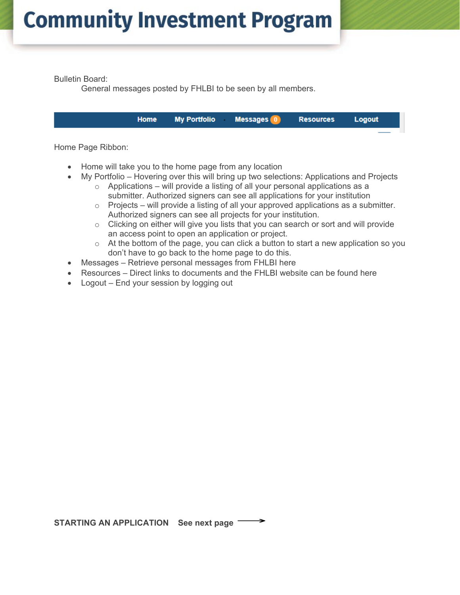Bulletin Board:

General messages posted by FHLBI to be seen by all members.

**Home My Portfolio Messages Resources** Logout

Home Page Ribbon:

- Home will take you to the home page from any location
- My Portfolio Hovering over this will bring up two selections: Applications and Projects
	- o Applications will provide a listing of all your personal applications as a submitter. Authorized signers can see all applications for your institution
	- $\circ$  Projects will provide a listing of all your approved applications as a submitter. Authorized signers can see all projects for your institution.
	- $\circ$  Clicking on either will give you lists that you can search or sort and will provide an access point to open an application or project.
	- $\circ$  At the bottom of the page, you can click a button to start a new application so you don't have to go back to the home page to do this.
- Messages Retrieve personal messages from FHLBI here
- Resources Direct links to documents and the FHLBI website can be found here
- Logout End your session by logging out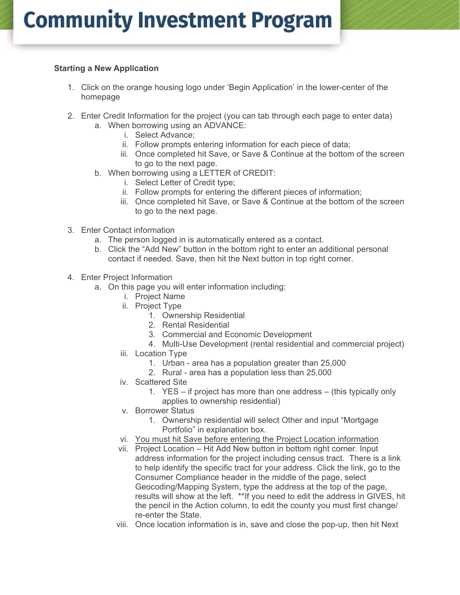### **Starting a New Application**

- 1. Click on the orange housing logo under 'Begin Application' in the lower-center of the homepage
- 2. Enter Credit Information for the project (you can tab through each page to enter data)
	- a. When borrowing using an ADVANCE:
		- i. Select Advance;
		- ii. Follow prompts entering information for each piece of data;
		- iii. Once completed hit Save, or Save & Continue at the bottom of the screen to go to the next page.
	- b. When borrowing using a LETTER of CREDIT:
		- i. Select Letter of Credit type;
		- ii. Follow prompts for entering the different pieces of information;
		- iii. Once completed hit Save, or Save & Continue at the bottom of the screen to go to the next page.
- 3. Enter Contact information
	- a. The person logged in is automatically entered as a contact.
	- b. Click the "Add New" button in the bottom right to enter an additional personal contact if needed. Save, then hit the Next button in top right corner.
- 4. Enter Project Information
	- a. On this page you will enter information including:
		- i. Project Name
		- ii. Project Type
			- 1. Ownership Residential
			- 2. Rental Residential
			- 3. Commercial and Economic Development
			- 4. Multi-Use Development (rental residential and commercial project)
		- iii. Location Type
			- 1. Urban area has a population greater than 25,000
			- 2. Rural area has a population less than 25,000
		- iv. Scattered Site
			- 1. YES if project has more than one address (this typically only applies to ownership residential)
		- v. Borrower Status
			- 1. Ownership residential will select Other and input "Mortgage Portfolio" in explanation box.
		- vi. You must hit Save before entering the Project Location information
		- vii. Project Location Hit Add New button in bottom right corner. Input address information for the project including census tract. There is a link to help identify the specific tract for your address. Click the link, go to the Consumer Compliance header in the middle of the page, select Geocoding/Mapping System, type the address at the top of the page, results will show at the left. \*\*If you need to edit the address in GIVES, hit the pencil in the Action column, to edit the county you must first change/ re-enter the State.
		- viii. Once location information is in, save and close the pop-up, then hit Next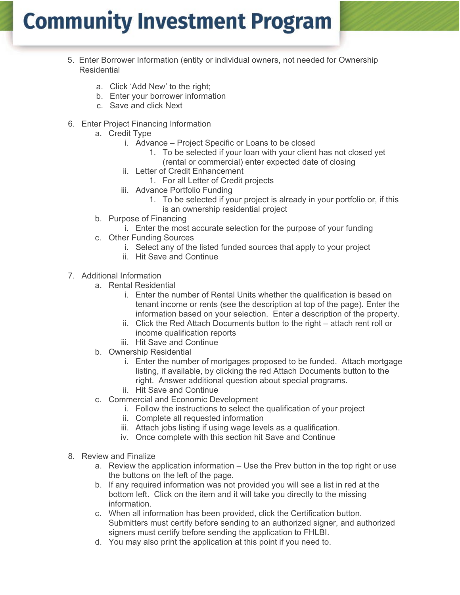## **Community Investment Program**

- 5. Enter Borrower Information (entity or individual owners, not needed for Ownership **Residential** 
	- a. Click 'Add New' to the right;
	- b. Enter your borrower information
	- c. Save and click Next
- 6. Enter Project Financing Information
	- a. Credit Type
		- i. Advance Project Specific or Loans to be closed
			- 1. To be selected if your loan with your client has not closed yet
			- (rental or commercial) enter expected date of closing
		- ii. Letter of Credit Enhancement
			- 1. For all Letter of Credit projects
		- iii. Advance Portfolio Funding
			- 1. To be selected if your project is already in your portfolio or, if this is an ownership residential project
	- b. Purpose of Financing
		- i. Enter the most accurate selection for the purpose of your funding
	- c. Other Funding Sources
		- i. Select any of the listed funded sources that apply to your project
		- ii. Hit Save and Continue
- 7. Additional Information
	- a. Rental Residential
		- i. Enter the number of Rental Units whether the qualification is based on tenant income or rents (see the description at top of the page). Enter the information based on your selection. Enter a description of the property.
		- ii. Click the Red Attach Documents button to the right attach rent roll or income qualification reports
		- iii. Hit Save and Continue
	- b. Ownership Residential
		- i. Enter the number of mortgages proposed to be funded. Attach mortgage listing, if available, by clicking the red Attach Documents button to the right. Answer additional question about special programs.
		- ii. Hit Save and Continue
	- c. Commercial and Economic Development
		- i. Follow the instructions to select the qualification of your project
		- ii. Complete all requested information
		- iii. Attach jobs listing if using wage levels as a qualification.
		- iv. Once complete with this section hit Save and Continue
- 8. Review and Finalize
	- a. Review the application information Use the Prev button in the top right or use the buttons on the left of the page.
	- b. If any required information was not provided you will see a list in red at the bottom left. Click on the item and it will take you directly to the missing information.
	- c. When all information has been provided, click the Certification button. Submitters must certify before sending to an authorized signer, and authorized signers must certify before sending the application to FHLBI.
	- d. You may also print the application at this point if you need to.